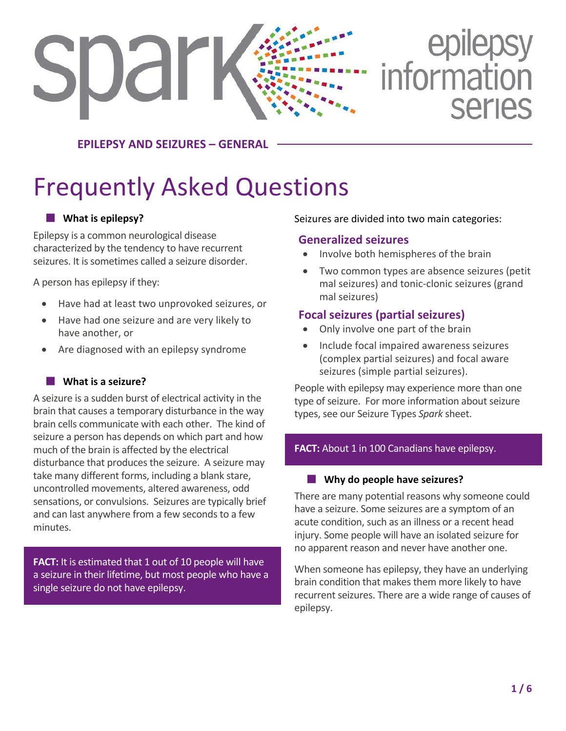# epilepsy<br>information **SDar Series**

**EPILEPSY AND SEIZURES – GENERAL**

# Frequently Asked Questions

### **What is epilepsy?**

Epilepsy is a common neurological disease characterized by the tendency to have recurrent seizures. It is sometimes called a seizure disorder.

A person has epilepsy if they:

- Have had at least two unprovoked seizures, or
- Have had one seizure and are very likely to have another, or
- Are diagnosed with an epilepsy syndrome

#### **What is a seizure?**

A seizure is a sudden burst of electrical activity in the brain that causes a temporary disturbance in the way brain cells communicate with each other. The kind of seizure a person has depends on which part and how much of the brain is affected by the electrical disturbance that produces the seizure. A seizure may take many different forms, including a blank stare, uncontrolled movements, altered awareness, odd sensations, or convulsions. Seizures are typically brief and can last anywhere from a few seconds to a few minutes.

**FACT:** It is estimated that 1 out of 10 people will have a seizure in their lifetime, but most people who have a single seizure do not have epilepsy.

#### Seizures are divided into two main categories:

### **Generalized seizures**

- Involve both hemispheres of the brain
- Two common types are absence seizures (petit mal seizures) and tonic-clonic seizures (grand mal seizures)

### **Focal seizures (partial seizures)**

- Only involve one part of the brain
- Include focal impaired awareness seizures (complex partial seizures) and focal aware seizures (simple partial seizures).

People with epilepsy may experience more than one type of seizure. For more information about seizure types, see our Seizure Types *Spark* sheet.

### FACT: About 1 in 100 Canadians have epilepsy.

#### **Why do people have seizures?**

There are many potential reasons why someone could have a seizure. Some seizures are a symptom of an acute condition, such as an illness or a recent head injury. Some people will have an isolated seizure for no apparent reason and never have another one.

When someone has epilepsy, they have an underlying brain condition that makes them more likely to have recurrent seizures. There are a wide range of causes of epilepsy.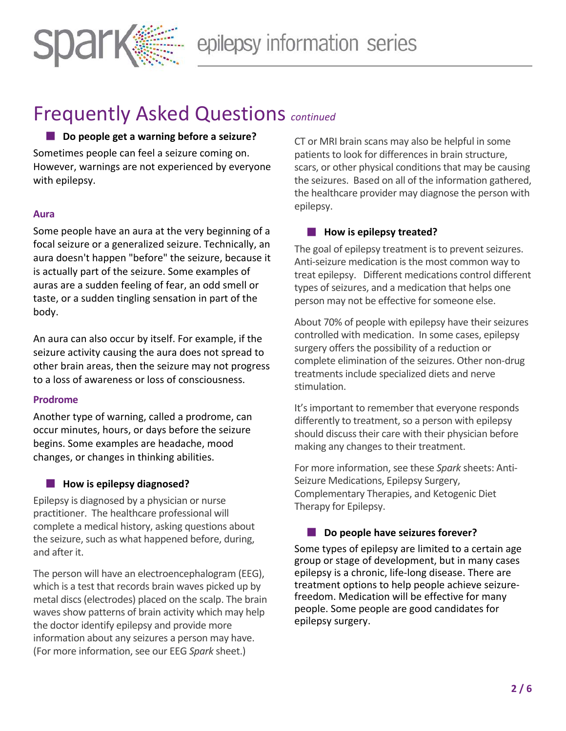

#### ■ Do people get a warning before a seizure?

Sometimes people can feel a seizure coming on. However, warnings are not experienced by everyone with epilepsy.

#### **Aura**

Some people have an aura at the very beginning of a focal seizure or a generalized seizure. Technically, an aura doesn't happen "before" the seizure, because it is actually part of the seizure. Some examples of auras are a sudden feeling of fear, an odd smell or taste, or a sudden tingling sensation in part of the body.

An aura can also occur by itself. For example, if the seizure activity causing the aura does not spread to other brain areas, then the seizure may not progress to a loss of awareness or loss of consciousness.

#### **Prodrome**

Another type of warning, called a prodrome, can occur minutes, hours, or days before the seizure begins. Some examples are headache, mood changes, or changes in thinking abilities.

#### **How is epilepsy diagnosed?**

Epilepsy is diagnosed by a physician or nurse practitioner. The healthcare professional will complete a medical history, asking questions about the seizure, such as what happened before, during, and after it.

The person will have an electroencephalogram (EEG), which is a test that records brain waves picked up by metal discs (electrodes) placed on the scalp. The brain waves show patterns of brain activity which may help the doctor identify epilepsy and provide more information about any seizures a person may have. (For more information, see our EEG *Spark* sheet.)

CT or MRI brain scans may also be helpful in some patients to look for differences in brain structure, scars, or other physical conditions that may be causing the seizures. Based on all of the information gathered, the healthcare provider may diagnose the person with epilepsy.

#### **How is epilepsy treated?**

The goal of epilepsy treatment is to prevent seizures. Anti-seizure medication is the most common way to treat epilepsy. Different medications control different types of seizures, and a medication that helps one person may not be effective for someone else.

About 70% of people with epilepsy have their seizures controlled with medication. In some cases, epilepsy surgery offers the possibility of a reduction or complete elimination of the seizures. Other non-drug treatments include specialized diets and nerve stimulation.

It's important to remember that everyone responds differently to treatment, so a person with epilepsy should discuss their care with their physician before making any changes to their treatment.

For more information, see these *Spark* sheets: Anti-Seizure Medications, Epilepsy Surgery, Complementary Therapies, and Ketogenic Diet Therapy for Epilepsy.

#### **Do people have seizures forever?**

Some types of epilepsy are limited to a certain age group or stage of development, but in many cases epilepsy is a chronic, life-long disease. There are treatment options to help people achieve seizurefreedom. Medication will be effective for many people. Some people are good candidates for epilepsy surgery.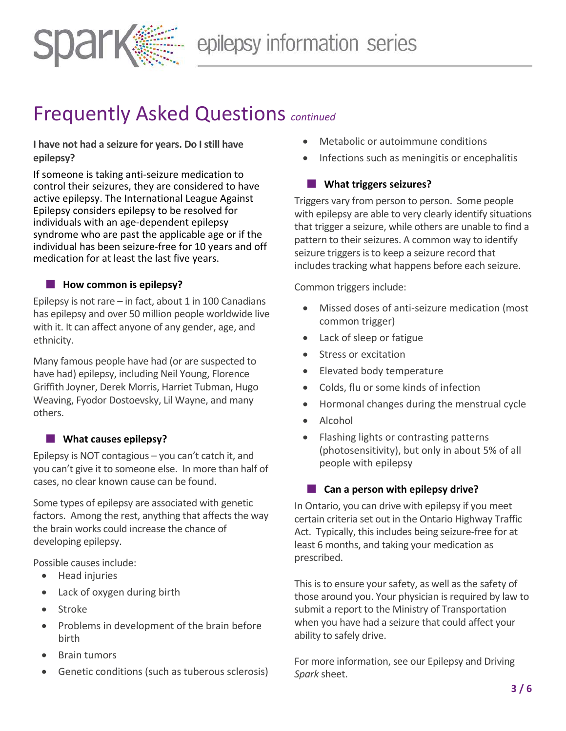

**I have not had a seizure for years. Do I still have epilepsy?**

If someone is taking anti-seizure medication to control their seizures, they are considered to have active epilepsy. The International League Against Epilepsy considers epilepsy to be resolved for individuals with an age-dependent epilepsy syndrome who are past the applicable age or if the individual has been seizure-free for 10 years and off medication for at least the last five years.

#### **How common is epilepsy?**

Epilepsy is not rare  $-$  in fact, about 1 in 100 Canadians has epilepsy and over 50 million people worldwide live with it. It can affect anyone of any gender, age, and ethnicity.

Many famous people have had (or are suspected to have had) epilepsy, including Neil Young, Florence Griffith Joyner, Derek Morris, Harriet Tubman, Hugo Weaving, Fyodor Dostoevsky, Lil Wayne, and many others.

#### **No. 3** What causes epilepsy?

Epilepsy is NOT contagious – you can't catch it, and you can't give it to someone else. In more than half of cases, no clear known cause can be found.

Some types of epilepsy are associated with genetic factors. Among the rest, anything that affects the way the brain works could increase the chance of developing epilepsy.

Possible causes include:

- Head injuries
- Lack of oxygen during birth
- Stroke
- Problems in development of the brain before birth
- **Brain tumors**
- Genetic conditions (such as tuberous sclerosis)
- Metabolic or autoimmune conditions
- Infections such as meningitis or encephalitis

#### **What triggers seizures?**

Triggers vary from person to person. Some people with epilepsy are able to very clearly identify situations that trigger a seizure, while others are unable to find a pattern to their seizures. A common way to identify seizure triggers is to keep a seizure record that includes tracking what happens before each seizure.

Common triggers include:

- Missed doses of anti-seizure medication (most common trigger)
- Lack of sleep or fatigue
- Stress or excitation
- Elevated body temperature
- Colds, flu or some kinds of infection
- Hormonal changes during the menstrual cycle
- Alcohol
- Flashing lights or contrasting patterns (photosensitivity), but only in about 5% of all people with epilepsy

#### **Can a person with epilepsy drive?**

In Ontario, you can drive with epilepsy if you meet certain criteria set out in the Ontario Highway Traffic Act. Typically, this includes being seizure-free for at least 6 months, and taking your medication as prescribed.

This is to ensure your safety, as well as the safety of those around you. Your physician is required by law to submit a report to the Ministry of Transportation when you have had a seizure that could affect your ability to safely drive.

For more information, see our Epilepsy and Driving *Spark* sheet.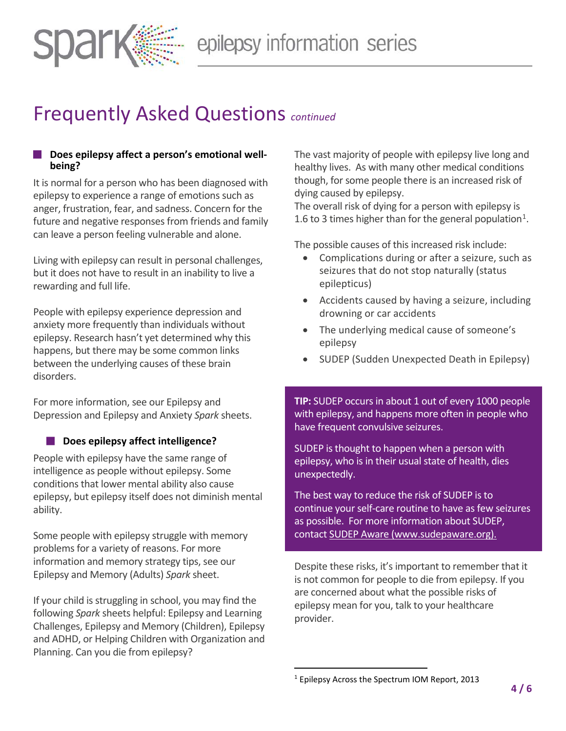

#### **Does epilepsy affect a person's emotional wellbeing?**

It is normal for a person who has been diagnosed with epilepsy to experience a range of emotions such as anger, frustration, fear, and sadness. Concern for the future and negative responses from friends and family can leave a person feeling vulnerable and alone.

Living with epilepsy can result in personal challenges, but it does not have to result in an inability to live a rewarding and full life.

People with epilepsy experience depression and anxiety more frequently than individuals without epilepsy. Research hasn't yet determined why this happens, but there may be some common links between the underlying causes of these brain disorders.

For more information, see our Epilepsy and Depression and Epilepsy and Anxiety *Spark* sheets.

#### **Does epilepsy affect intelligence?**

People with epilepsy have the same range of intelligence as people without epilepsy. Some conditions that lower mental ability also cause epilepsy, but epilepsy itself does not diminish mental ability.

Some people with epilepsy struggle with memory problems for a variety of reasons. For more information and memory strategy tips, see our Epilepsy and Memory (Adults) *Spark* sheet.

<span id="page-3-0"></span>If your child is struggling in school, you may find the following *Spark* sheets helpful: Epilepsy and Learning Challenges, Epilepsy and Memory (Children), Epilepsy and ADHD, or Helping Children with Organization and Planning. Can you die from epilepsy?

The vast majority of people with epilepsy live long and healthy lives. As with many other medical conditions though, for some people there is an increased risk of dying caused by epilepsy.

The overall risk of dying for a person with epilepsy is 1.6 to 3 times higher than for the general population<sup>1</sup>.

The possible causes of this increased risk include:

- Complications during or after a seizure, such as seizures that do not stop naturally (status epilepticus)
- Accidents caused by having a seizure, including drowning or car accidents
- The underlying medical cause of someone's epilepsy
- SUDEP (Sudden Unexpected Death in Epilepsy)

**TIP:** SUDEP occurs in about 1 out of every 1000 people with epilepsy, and happens more often in people who have frequent convulsive seizures.

SUDEP is thought to happen when a person with epilepsy, who is in their usual state of health, dies unexpectedly.

The best way to reduce the risk of SUDEP is to continue your self-care routine to have as few seizures as possible. For more information about SUDEP, contact SUDEP Aware (www.sudepaware.org).

Despite these risks, it's important to remember that it is not common for people to die from epilepsy. If you are concerned about what the possible risks of epilepsy mean for you, talk to your healthcare provider.

<sup>&</sup>lt;sup>1</sup> Epilepsy Across the Spectrum IOM Report, 2013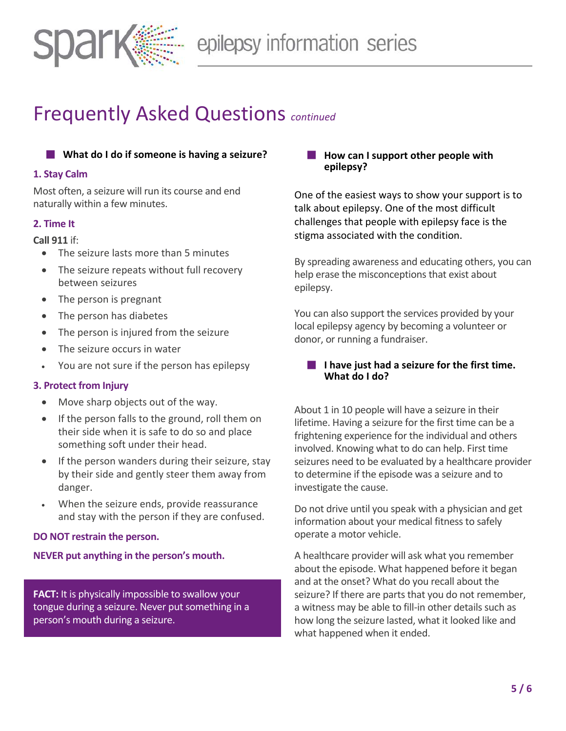

#### **What do I do if someone is having a seizure?**

#### **1. Stay Calm**

Most often, a seizure will run its course and end naturally within a few minutes.

#### **2. Time It**

#### **Call 911** if:

- The seizure lasts more than 5 minutes
- The seizure repeats without full recovery between seizures
- The person is pregnant
- The person has diabetes
- The person is injured from the seizure
- The seizure occurs in water
- You are not sure if the person has epilepsy

#### **3. Protect from Injury**

- Move sharp objects out of the way.
- If the person falls to the ground, roll them on their side when it is safe to do so and place something soft under their head.
- If the person wanders during their seizure, stay by their side and gently steer them away from danger.
- When the seizure ends, provide reassurance and stay with the person if they are confused.

#### **DO NOT restrain the person.**

#### **NEVER put anything in the person's mouth.**

**FACT:** It is physically impossible to swallow your tongue during a seizure. Never put something in a person's mouth during a seizure.

#### **How can I support other people with epilepsy?**

One of the easiest ways to show your support is to talk about epilepsy. One of the most difficult challenges that people with epilepsy face is the stigma associated with the condition.

By spreading awareness and educating others, you can help erase the misconceptions that exist about epilepsy.

You can also support the services provided by your local epilepsy agency by becoming a volunteer or donor, or running a fundraiser.

#### **I** I have just had a seizure for the first time. **What do I do?**

About 1 in 10 people will have a seizure in their lifetime. Having a seizure for the first time can be a frightening experience for the individual and others involved. Knowing what to do can help. First time seizures need to be evaluated by a healthcare provider to determine if the episode was a seizure and to investigate the cause.

Do not drive until you speak with a physician and get information about your medical fitness to safely operate a motor vehicle.

A healthcare provider will ask what you remember about the episode. What happened before it began and at the onset? What do you recall about the seizure? If there are parts that you do not remember, a witness may be able to fill-in other details such as how long the seizure lasted, what it looked like and what happened when it ended.